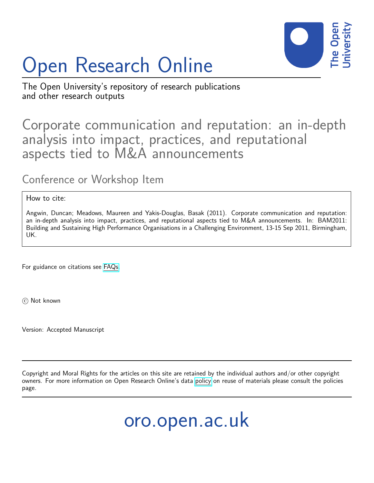

# Open Research Online

The Open University's repository of research publications and other research outputs

# Corporate communication and reputation: an in-depth analysis into impact, practices, and reputational aspects tied to M&A announcements

# Conference or Workshop Item

# How to cite:

Angwin, Duncan; Meadows, Maureen and Yakis-Douglas, Basak (2011). Corporate communication and reputation: an in-depth analysis into impact, practices, and reputational aspects tied to M&A announcements. In: BAM2011: Building and Sustaining High Performance Organisations in a Challenging Environment, 13-15 Sep 2011, Birmingham, UK.

For guidance on citations see [FAQs.](http://oro.open.ac.uk/help/helpfaq.html)

(c) Not known

Version: Accepted Manuscript

Copyright and Moral Rights for the articles on this site are retained by the individual authors and/or other copyright owners. For more information on Open Research Online's data [policy](http://oro.open.ac.uk/policies.html) on reuse of materials please consult the policies page.

oro.open.ac.uk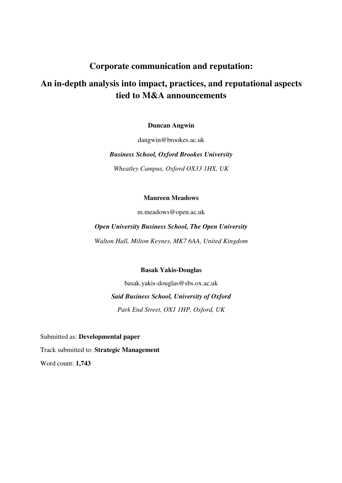# **Corporate communication and reputation:**

# **An in-depth analysis into impact, practices, and reputational aspects tied to M&A announcements**

**Duncan Angwin** 

dangwin@brookes.ac.uk

*Business School, Oxford Brookes University* 

*Wheatley Campus, Oxford OX33 1HX, UK* 

**Maureen Meadows** 

m.meadows@open.ac.uk

*Open University Business School, The Open University* 

*Walton Hall, Milton Keynes, MK7 6AA, United Kingdom*

**Basak Yakis-Douglas** 

basak.yakis-douglas@sbs.ox.ac.uk *Said Business School, University of Oxford Park End Street, OX1 1HP, Oxford, UK* 

Submitted as: **Developmental paper** Track submitted to: **Strategic Management**  Word count: **1,743**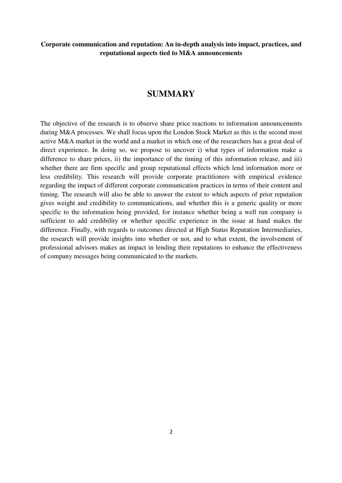# **SUMMARY**

The objective of the research is to observe share price reactions to information announcements during M&A processes. We shall focus upon the London Stock Market as this is the second most active M&A market in the world and a market in which one of the researchers has a great deal of direct experience. In doing so, we propose to uncover i) what types of information make a difference to share prices, ii) the importance of the timing of this information release, and iii) whether there are firm specific and group reputational effects which lend information more or less credibility. This research will provide corporate practitioners with empirical evidence regarding the impact of different corporate communication practices in terms of their content and timing. The research will also be able to answer the extent to which aspects of prior reputation gives weight and credibility to communications, and whether this is a generic quality or more specific to the information being provided, for instance whether being a well run company is sufficient to add credibility or whether specific experience in the issue at hand makes the difference. Finally, with regards to outcomes directed at High Status Reputation Intermediaries, the research will provide insights into whether or not, and to what extent, the involvement of professional advisors makes an impact in lending their reputations to enhance the effectiveness of company messages being communicated to the markets.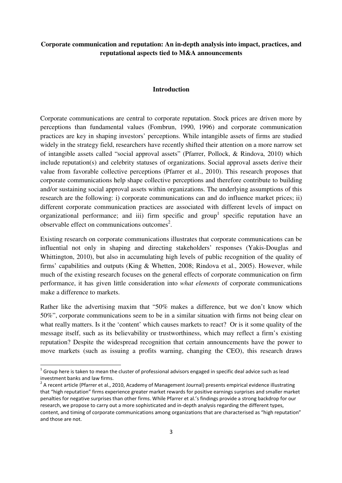#### **Introduction**

Corporate communications are central to corporate reputation. Stock prices are driven more by perceptions than fundamental values (Fombrun, 1990, 1996) and corporate communication practices are key in shaping investors' perceptions. While intangible assets of firms are studied widely in the strategy field, researchers have recently shifted their attention on a more narrow set of intangible assets called "social approval assets" (Pfarrer, Pollock, & Rindova, 2010) which include reputation(s) and celebrity statuses of organizations. Social approval assets derive their value from favorable collective perceptions (Pfarrer et al., 2010). This research proposes that corporate communications help shape collective perceptions and therefore contribute to building and/or sustaining social approval assets within organizations. The underlying assumptions of this research are the following: i) corporate communications can and do influence market prices; ii) different corporate communication practices are associated with different levels of impact on organizational performance; and iii) firm specific and group<sup>1</sup> specific reputation have an observable effect on communications outcomes<sup>2</sup>.

Existing research on corporate communications illustrates that corporate communications can be influential not only in shaping and directing stakeholders' responses (Yakis-Douglas and Whittington, 2010), but also in accumulating high levels of public recognition of the quality of firms' capabilities and outputs (King & Whetten, 2008; Rindova et al., 2005). However, while much of the existing research focuses on the general effects of corporate communication on firm performance, it has given little consideration into *what elements* of corporate communications make a difference to markets.

Rather like the advertising maxim that "50% makes a difference, but we don't know which 50%", corporate communications seem to be in a similar situation with firms not being clear on what really matters. Is it the 'content' which causes markets to react? Or is it some quality of the message itself, such as its believability or trustworthiness, which may reflect a firm's existing reputation? Despite the widespread recognition that certain announcements have the power to move markets (such as issuing a profits warning, changing the CEO), this research draws

<u>.</u>

 $^1$  Group here is taken to mean the cluster of professional advisors engaged in specific deal advice such as lead investment banks and law firms.

 $2$  A recent article (Pfarrer et al., 2010, Academy of Management Journal) presents empirical evidence illustrating that "high reputation" firms experience greater market rewards for positive earnings surprises and smaller market penalties for negative surprises than other firms. While Pfarrer et al.'s findings provide a strong backdrop for our research, we propose to carry out a more sophisticated and in-depth analysis regarding the different types, content, and timing of corporate communications among organizations that are characterised as "high reputation" and those are not.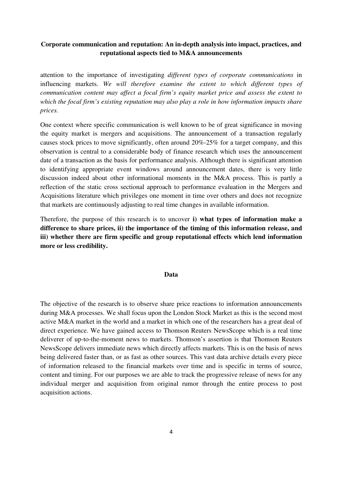attention to the importance of investigating *different types of corporate communications* in influencing markets. *We will therefore examine the extent to which different types of communication content may affect a focal firm's equity market price and assess the extent to which the focal firm's existing reputation may also play a role in how information impacts share prices.* 

One context where specific communication is well known to be of great significance in moving the equity market is mergers and acquisitions. The announcement of a transaction regularly causes stock prices to move significantly, often around 20%-25% for a target company, and this observation is central to a considerable body of finance research which uses the announcement date of a transaction as the basis for performance analysis. Although there is significant attention to identifying appropriate event windows around announcement dates, there is very little discussion indeed about other informational moments in the M&A process. This is partly a reflection of the static cross sectional approach to performance evaluation in the Mergers and Acquisitions literature which privileges one moment in time over others and does not recognize that markets are continuously adjusting to real time changes in available information.

Therefore, the purpose of this research is to uncover **i) what types of information make a difference to share prices, ii) the importance of the timing of this information release, and iii) whether there are firm specific and group reputational effects which lend information more or less credibility.**

#### **Data**

The objective of the research is to observe share price reactions to information announcements during M&A processes. We shall focus upon the London Stock Market as this is the second most active M&A market in the world and a market in which one of the researchers has a great deal of direct experience. We have gained access to Thomson Reuters NewsScope which is a real time deliverer of up-to-the-moment news to markets. Thomson's assertion is that Thomson Reuters NewsScope delivers immediate news which directly affects markets. This is on the basis of news being delivered faster than, or as fast as other sources. This vast data archive details every piece of information released to the financial markets over time and is specific in terms of source, content and timing. For our purposes we are able to track the progressive release of news for any individual merger and acquisition from original rumor through the entire process to post acquisition actions.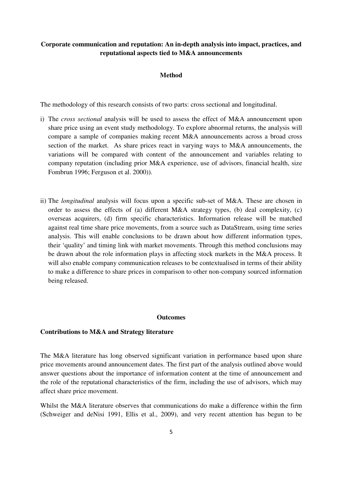#### **Method**

The methodology of this research consists of two parts: cross sectional and longitudinal.

- i) The *cross sectional* analysis will be used to assess the effect of M&A announcement upon share price using an event study methodology. To explore abnormal returns, the analysis will compare a sample of companies making recent M&A announcements across a broad cross section of the market. As share prices react in varying ways to M&A announcements, the variations will be compared with content of the announcement and variables relating to company reputation (including prior M&A experience, use of advisors, financial health, size Fombrun 1996; Ferguson et al. 2000)).
- ii) The *longitudinal* analysis will focus upon a specific sub-set of M&A. These are chosen in order to assess the effects of (a) different M&A strategy types, (b) deal complexity, (c) overseas acquirers, (d) firm specific characteristics. Information release will be matched against real time share price movements, from a source such as DataStream, using time series analysis. This will enable conclusions to be drawn about how different information types, their 'quality' and timing link with market movements. Through this method conclusions may be drawn about the role information plays in affecting stock markets in the M&A process. It will also enable company communication releases to be contextualised in terms of their ability to make a difference to share prices in comparison to other non-company sourced information being released.

#### **Outcomes**

#### **Contributions to M&A and Strategy literature**

The M&A literature has long observed significant variation in performance based upon share price movements around announcement dates. The first part of the analysis outlined above would answer questions about the importance of information content at the time of announcement and the role of the reputational characteristics of the firm, including the use of advisors, which may affect share price movement.

Whilst the M&A literature observes that communications do make a difference within the firm (Schweiger and deNisi 1991, Ellis et al., 2009), and very recent attention has begun to be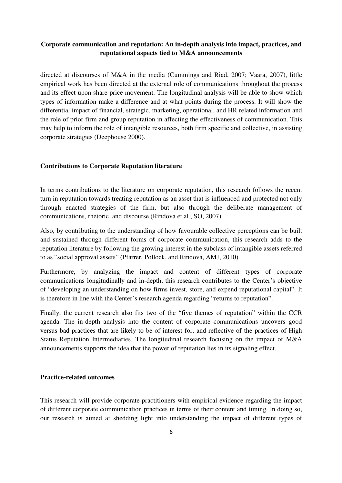directed at discourses of M&A in the media (Cummings and Riad, 2007; Vaara, 2007), little empirical work has been directed at the external role of communications throughout the process and its effect upon share price movement. The longitudinal analysis will be able to show which types of information make a difference and at what points during the process. It will show the differential impact of financial, strategic, marketing, operational, and HR related information and the role of prior firm and group reputation in affecting the effectiveness of communication. This may help to inform the role of intangible resources, both firm specific and collective, in assisting corporate strategies (Deephouse 2000).

#### **Contributions to Corporate Reputation literature**

In terms contributions to the literature on corporate reputation, this research follows the recent turn in reputation towards treating reputation as an asset that is influenced and protected not only through enacted strategies of the firm, but also through the deliberate management of communications, rhetoric, and discourse (Rindova et al., SO, 2007).

Also, by contributing to the understanding of how favourable collective perceptions can be built and sustained through different forms of corporate communication, this research adds to the reputation literature by following the growing interest in the subclass of intangible assets referred to as "social approval assets" (Pfarrer, Pollock, and Rindova, AMJ, 2010).

Furthermore, by analyzing the impact and content of different types of corporate communications longitudinally and in-depth, this research contributes to the Center's objective of "developing an understanding on how firms invest, store, and expend reputational capital". It is therefore in line with the Center's research agenda regarding "returns to reputation".

Finally, the current research also fits two of the "five themes of reputation" within the CCR agenda. The in-depth analysis into the content of corporate communications uncovers good versus bad practices that are likely to be of interest for, and reflective of the practices of High Status Reputation Intermediaries. The longitudinal research focusing on the impact of M&A announcements supports the idea that the power of reputation lies in its signaling effect.

#### **Practice-related outcomes**

This research will provide corporate practitioners with empirical evidence regarding the impact of different corporate communication practices in terms of their content and timing. In doing so, our research is aimed at shedding light into understanding the impact of different types of